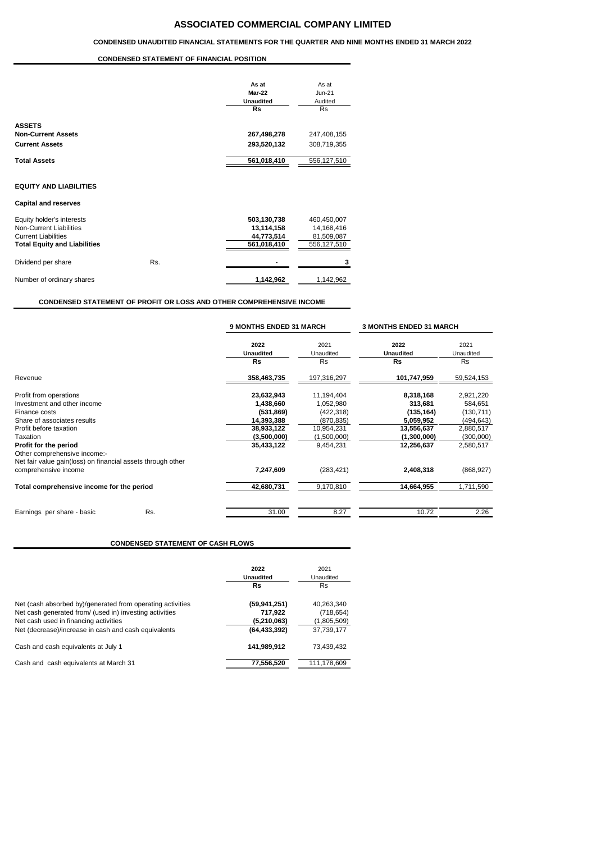# **ASSOCIATED COMMERCIAL COMPANY LIMITED**

#### **CONDENSED UNAUDITED FINANCIAL STATEMENTS FOR THE QUARTER AND NINE MONTHS ENDED 31 MARCH 2022**

### **CONDENSED STATEMENT OF FINANCIAL POSITION**

|                                     |     | As at<br>Mar-22<br><b>Unaudited</b><br><b>Rs</b> | As at<br>$Jun-21$<br>Audited<br><b>Rs</b> |
|-------------------------------------|-----|--------------------------------------------------|-------------------------------------------|
| <b>ASSETS</b>                       |     |                                                  |                                           |
| <b>Non-Current Assets</b>           |     | 267,498,278                                      | 247,408,155                               |
| <b>Current Assets</b>               |     | 293,520,132                                      | 308,719,355                               |
| <b>Total Assets</b>                 |     | 561,018,410                                      | 556,127,510                               |
| <b>EQUITY AND LIABILITIES</b>       |     |                                                  |                                           |
| <b>Capital and reserves</b>         |     |                                                  |                                           |
| Equity holder's interests           |     | 503,130,738                                      | 460,450,007                               |
| Non-Current Liabilities             |     | 13,114,158                                       | 14,168,416                                |
| <b>Current Liabilities</b>          |     | 44,773,514                                       | 81,509,087                                |
| <b>Total Equity and Liabilities</b> |     | 561,018,410                                      | 556,127,510                               |
| Dividend per share                  | Rs. |                                                  | 3                                         |

# **CONDENSED STATEMENT OF PROFIT OR LOSS AND OTHER COMPREHENSIVE INCOME**

Number of ordinary shares **1,142,962** 1,142,962

|                                                                                                                      | <b>9 MONTHS ENDED 31 MARCH</b> |                   | <b>3 MONTHS ENDED 31 MARCH</b> |                   |  |
|----------------------------------------------------------------------------------------------------------------------|--------------------------------|-------------------|--------------------------------|-------------------|--|
|                                                                                                                      | 2022<br><b>Unaudited</b>       | 2021<br>Unaudited | 2022<br><b>Unaudited</b>       | 2021<br>Unaudited |  |
|                                                                                                                      | <b>Rs</b>                      | <b>Rs</b>         | <b>Rs</b>                      | <b>Rs</b>         |  |
| Revenue                                                                                                              | 358,463,735                    | 197,316,297       | 101,747,959                    | 59,524,153        |  |
| Profit from operations                                                                                               | 23,632,943                     | 11,194,404        | 8,318,168                      | 2,921,220         |  |
| Investment and other income                                                                                          | 1,438,660                      | 1,052,980         | 313,681                        | 584,651           |  |
| Finance costs                                                                                                        | (531, 869)                     | (422, 318)        | (135, 164)                     | (130, 711)        |  |
| Share of associates results                                                                                          | 14,393,388                     | (870, 835)        | 5,059,952                      | (494, 643)        |  |
| Profit before taxation                                                                                               | 38,933,122                     | 10,954,231        | 13,556,637                     | 2,880,517         |  |
| Taxation                                                                                                             | (3,500,000)                    | (1,500,000)       | (1,300,000)                    | (300,000)         |  |
| Profit for the period<br>Other comprehensive income:-<br>Net fair value gain(loss) on financial assets through other | 35,433,122                     | 9,454,231         | 12,256,637                     | 2,580,517         |  |
| comprehensive income                                                                                                 | 7,247,609                      | (283, 421)        | 2,408,318                      | (868, 927)        |  |
| Total comprehensive income for the period                                                                            | 42,680,731                     | 9,170,810         | 14,664,955                     | 1,711,590         |  |
| Rs.<br>Earnings per share - basic                                                                                    | 31.00                          | 8.27              | 10.72                          | 2.26              |  |

# **CONDENSED STATEMENT OF CASH FLOWS**

|                                                            | 2022           | 2021        |
|------------------------------------------------------------|----------------|-------------|
|                                                            | Unaudited      | Unaudited   |
|                                                            | Rs             | <b>Rs</b>   |
| Net (cash absorbed by)/generated from operating activities | (59,941,251)   | 40,263,340  |
| Net cash generated from/ (used in) investing activities    | 717,922        | (718, 654)  |
| Net cash used in financing activities                      | (5,210,063)    | (1,805,509) |
| Net (decrease)/increase in cash and cash equivalents       | (64, 433, 392) | 37,739,177  |
| Cash and cash equivalents at July 1                        | 141.989.912    | 73,439,432  |
| Cash and cash equivalents at March 31                      | 77,556,520     | 111,178,609 |